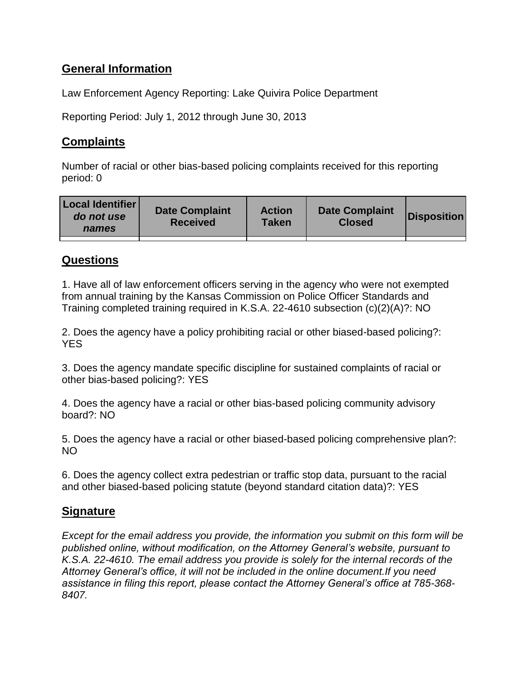# **General Information**

Law Enforcement Agency Reporting: Lake Quivira Police Department

Reporting Period: July 1, 2012 through June 30, 2013

## **Complaints**

Number of racial or other bias-based policing complaints received for this reporting period: 0

| <b>Local Identifier</b><br>do not use<br>names | <b>Date Complaint</b><br><b>Received</b> | <b>Action</b><br>Taken | <b>Date Complaint</b><br><b>Closed</b> | Disposition |
|------------------------------------------------|------------------------------------------|------------------------|----------------------------------------|-------------|
|                                                |                                          |                        |                                        |             |

### **Questions**

1. Have all of law enforcement officers serving in the agency who were not exempted from annual training by the Kansas Commission on Police Officer Standards and Training completed training required in K.S.A. 22-4610 subsection (c)(2)(A)?: NO

2. Does the agency have a policy prohibiting racial or other biased-based policing?: **YES** 

3. Does the agency mandate specific discipline for sustained complaints of racial or other bias-based policing?: YES

4. Does the agency have a racial or other bias-based policing community advisory board?: NO

5. Does the agency have a racial or other biased-based policing comprehensive plan?: NO

6. Does the agency collect extra pedestrian or traffic stop data, pursuant to the racial and other biased-based policing statute (beyond standard citation data)?: YES

### **Signature**

*Except for the email address you provide, the information you submit on this form will be published online, without modification, on the Attorney General's website, pursuant to K.S.A. 22-4610. The email address you provide is solely for the internal records of the Attorney General's office, it will not be included in the online document.If you need assistance in filing this report, please contact the Attorney General's office at 785-368- 8407.*